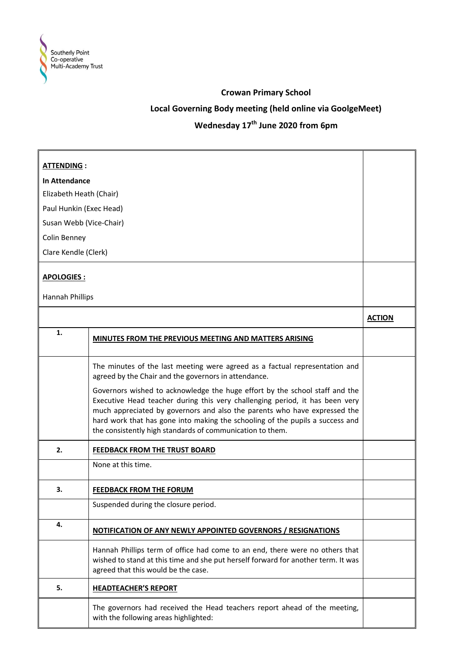

### **Crowan Primary School**

## **Local Governing Body meeting (held online via GoolgeMeet)**

# **Wednesday 17th June 2020 from 6pm**

| <b>ATTENDING:</b>       |                                                                                                                                                                                                                                                                                                                                                                                        |               |
|-------------------------|----------------------------------------------------------------------------------------------------------------------------------------------------------------------------------------------------------------------------------------------------------------------------------------------------------------------------------------------------------------------------------------|---------------|
| <b>In Attendance</b>    |                                                                                                                                                                                                                                                                                                                                                                                        |               |
| Elizabeth Heath (Chair) |                                                                                                                                                                                                                                                                                                                                                                                        |               |
| Paul Hunkin (Exec Head) |                                                                                                                                                                                                                                                                                                                                                                                        |               |
| Susan Webb (Vice-Chair) |                                                                                                                                                                                                                                                                                                                                                                                        |               |
| Colin Benney            |                                                                                                                                                                                                                                                                                                                                                                                        |               |
| Clare Kendle (Clerk)    |                                                                                                                                                                                                                                                                                                                                                                                        |               |
|                         |                                                                                                                                                                                                                                                                                                                                                                                        |               |
| <b>APOLOGIES:</b>       |                                                                                                                                                                                                                                                                                                                                                                                        |               |
| Hannah Phillips         |                                                                                                                                                                                                                                                                                                                                                                                        |               |
|                         |                                                                                                                                                                                                                                                                                                                                                                                        | <b>ACTION</b> |
| 1.                      | MINUTES FROM THE PREVIOUS MEETING AND MATTERS ARISING                                                                                                                                                                                                                                                                                                                                  |               |
|                         | The minutes of the last meeting were agreed as a factual representation and<br>agreed by the Chair and the governors in attendance.                                                                                                                                                                                                                                                    |               |
|                         | Governors wished to acknowledge the huge effort by the school staff and the<br>Executive Head teacher during this very challenging period, it has been very<br>much appreciated by governors and also the parents who have expressed the<br>hard work that has gone into making the schooling of the pupils a success and<br>the consistently high standards of communication to them. |               |
| 2.                      | FEEDBACK FROM THE TRUST BOARD                                                                                                                                                                                                                                                                                                                                                          |               |
|                         | None at this time.                                                                                                                                                                                                                                                                                                                                                                     |               |
| 3.                      | <b>FEEDBACK FROM THE FORUM</b>                                                                                                                                                                                                                                                                                                                                                         |               |
|                         | Suspended during the closure period.                                                                                                                                                                                                                                                                                                                                                   |               |
| 4.                      | NOTIFICATION OF ANY NEWLY APPOINTED GOVERNORS / RESIGNATIONS                                                                                                                                                                                                                                                                                                                           |               |
|                         | Hannah Phillips term of office had come to an end, there were no others that<br>wished to stand at this time and she put herself forward for another term. It was<br>agreed that this would be the case.                                                                                                                                                                               |               |
| 5.                      | <b>HEADTEACHER'S REPORT</b>                                                                                                                                                                                                                                                                                                                                                            |               |
|                         | The governors had received the Head teachers report ahead of the meeting,<br>with the following areas highlighted:                                                                                                                                                                                                                                                                     |               |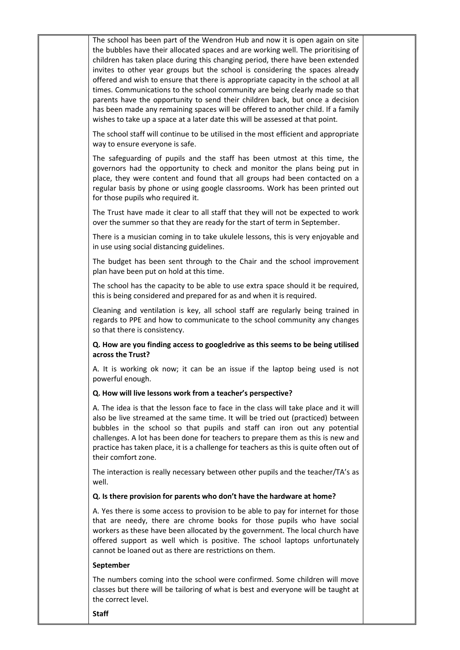The school has been part of the Wendron Hub and now it is open again on site the bubbles have their allocated spaces and are working well. The prioritising of children has taken place during this changing period, there have been extended invites to other year groups but the school is considering the spaces already offered and wish to ensure that there is appropriate capacity in the school at all times. Communications to the school community are being clearly made so that parents have the opportunity to send their children back, but once a decision has been made any remaining spaces will be offered to another child. If a family wishes to take up a space at a later date this will be assessed at that point.

The school staff will continue to be utilised in the most efficient and appropriate way to ensure everyone is safe.

The safeguarding of pupils and the staff has been utmost at this time, the governors had the opportunity to check and monitor the plans being put in place, they were content and found that all groups had been contacted on a regular basis by phone or using google classrooms. Work has been printed out for those pupils who required it.

The Trust have made it clear to all staff that they will not be expected to work over the summer so that they are ready for the start of term in September.

There is a musician coming in to take ukulele lessons, this is very enjoyable and in use using social distancing guidelines.

The budget has been sent through to the Chair and the school improvement plan have been put on hold at this time.

The school has the capacity to be able to use extra space should it be required, this is being considered and prepared for as and when it is required.

Cleaning and ventilation is key, all school staff are regularly being trained in regards to PPE and how to communicate to the school community any changes so that there is consistency.

**Q. How are you finding access to googledrive as this seems to be being utilised across the Trust?**

A. It is working ok now; it can be an issue if the laptop being used is not powerful enough.

#### **Q. How will live lessons work from a teacher's perspective?**

A. The idea is that the lesson face to face in the class will take place and it will also be live streamed at the same time. It will be tried out (practiced) between bubbles in the school so that pupils and staff can iron out any potential challenges. A lot has been done for teachers to prepare them as this is new and practice has taken place, it is a challenge for teachers as this is quite often out of their comfort zone.

The interaction is really necessary between other pupils and the teacher/TA's as well.

#### **Q. Is there provision for parents who don't have the hardware at home?**

A. Yes there is some access to provision to be able to pay for internet for those that are needy, there are chrome books for those pupils who have social workers as these have been allocated by the government. The local church have offered support as well which is positive. The school laptops unfortunately cannot be loaned out as there are restrictions on them.

#### **September**

The numbers coming into the school were confirmed. Some children will move classes but there will be tailoring of what is best and everyone will be taught at the correct level.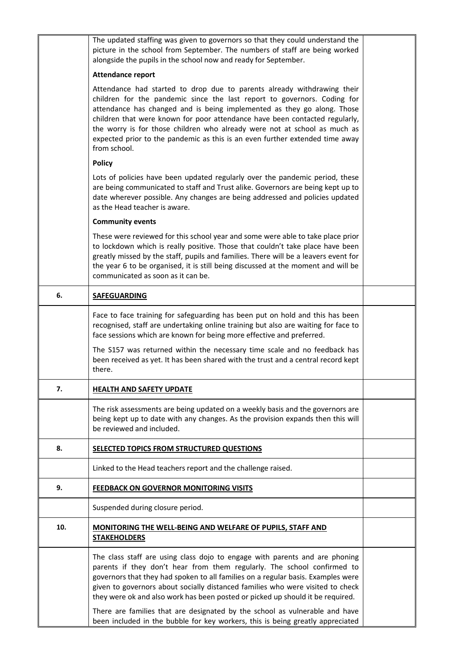|     | The updated staffing was given to governors so that they could understand the<br>picture in the school from September. The numbers of staff are being worked<br>alongside the pupils in the school now and ready for September.                                                                                                                                                                                                                                                               |  |
|-----|-----------------------------------------------------------------------------------------------------------------------------------------------------------------------------------------------------------------------------------------------------------------------------------------------------------------------------------------------------------------------------------------------------------------------------------------------------------------------------------------------|--|
|     | <b>Attendance report</b>                                                                                                                                                                                                                                                                                                                                                                                                                                                                      |  |
|     | Attendance had started to drop due to parents already withdrawing their<br>children for the pandemic since the last report to governors. Coding for<br>attendance has changed and is being implemented as they go along. Those<br>children that were known for poor attendance have been contacted regularly,<br>the worry is for those children who already were not at school as much as<br>expected prior to the pandemic as this is an even further extended time away<br>from school.    |  |
|     | <b>Policy</b>                                                                                                                                                                                                                                                                                                                                                                                                                                                                                 |  |
|     | Lots of policies have been updated regularly over the pandemic period, these<br>are being communicated to staff and Trust alike. Governors are being kept up to<br>date wherever possible. Any changes are being addressed and policies updated<br>as the Head teacher is aware.                                                                                                                                                                                                              |  |
|     | <b>Community events</b>                                                                                                                                                                                                                                                                                                                                                                                                                                                                       |  |
|     | These were reviewed for this school year and some were able to take place prior<br>to lockdown which is really positive. Those that couldn't take place have been<br>greatly missed by the staff, pupils and families. There will be a leavers event for<br>the year 6 to be organised, it is still being discussed at the moment and will be<br>communicated as soon as it can be.                                                                                                           |  |
| 6.  | <b>SAFEGUARDING</b>                                                                                                                                                                                                                                                                                                                                                                                                                                                                           |  |
|     | Face to face training for safeguarding has been put on hold and this has been<br>recognised, staff are undertaking online training but also are waiting for face to<br>face sessions which are known for being more effective and preferred.                                                                                                                                                                                                                                                  |  |
|     | The S157 was returned within the necessary time scale and no feedback has<br>been received as yet. It has been shared with the trust and a central record kept<br>there.                                                                                                                                                                                                                                                                                                                      |  |
| 7.  | <b>HEALTH AND SAFETY UPDATE</b>                                                                                                                                                                                                                                                                                                                                                                                                                                                               |  |
|     | The risk assessments are being updated on a weekly basis and the governors are<br>being kept up to date with any changes. As the provision expands then this will<br>be reviewed and included.                                                                                                                                                                                                                                                                                                |  |
| 8.  | SELECTED TOPICS FROM STRUCTURED QUESTIONS                                                                                                                                                                                                                                                                                                                                                                                                                                                     |  |
|     | Linked to the Head teachers report and the challenge raised.                                                                                                                                                                                                                                                                                                                                                                                                                                  |  |
| 9.  | <b>FEEDBACK ON GOVERNOR MONITORING VISITS</b>                                                                                                                                                                                                                                                                                                                                                                                                                                                 |  |
|     | Suspended during closure period.                                                                                                                                                                                                                                                                                                                                                                                                                                                              |  |
| 10. | MONITORING THE WELL-BEING AND WELFARE OF PUPILS, STAFF AND<br><b>STAKEHOLDERS</b>                                                                                                                                                                                                                                                                                                                                                                                                             |  |
|     | The class staff are using class dojo to engage with parents and are phoning<br>parents if they don't hear from them regularly. The school confirmed to<br>governors that they had spoken to all families on a regular basis. Examples were<br>given to governors about socially distanced families who were visited to check<br>they were ok and also work has been posted or picked up should it be required.<br>There are families that are designated by the school as vulnerable and have |  |
|     | been included in the bubble for key workers, this is being greatly appreciated                                                                                                                                                                                                                                                                                                                                                                                                                |  |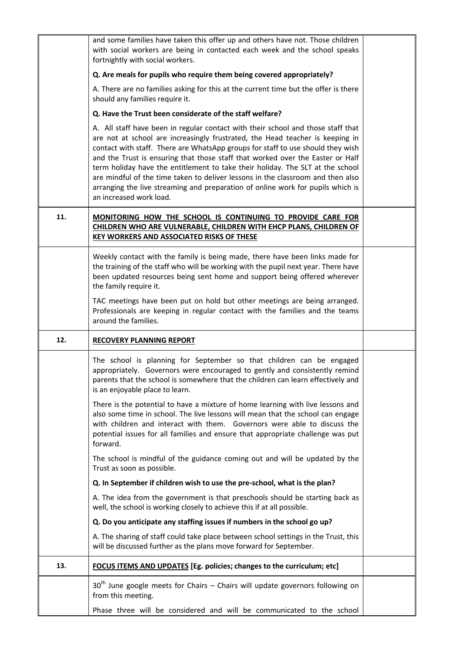|     | and some families have taken this offer up and others have not. Those children<br>with social workers are being in contacted each week and the school speaks<br>fortnightly with social workers.                                                                                                                                                                                                                                                                                                                                                                                                                          |  |
|-----|---------------------------------------------------------------------------------------------------------------------------------------------------------------------------------------------------------------------------------------------------------------------------------------------------------------------------------------------------------------------------------------------------------------------------------------------------------------------------------------------------------------------------------------------------------------------------------------------------------------------------|--|
|     | Q. Are meals for pupils who require them being covered appropriately?                                                                                                                                                                                                                                                                                                                                                                                                                                                                                                                                                     |  |
|     | A. There are no families asking for this at the current time but the offer is there<br>should any families require it.                                                                                                                                                                                                                                                                                                                                                                                                                                                                                                    |  |
|     | Q. Have the Trust been considerate of the staff welfare?                                                                                                                                                                                                                                                                                                                                                                                                                                                                                                                                                                  |  |
|     | A. All staff have been in regular contact with their school and those staff that<br>are not at school are increasingly frustrated, the Head teacher is keeping in<br>contact with staff. There are WhatsApp groups for staff to use should they wish<br>and the Trust is ensuring that those staff that worked over the Easter or Half<br>term holiday have the entitlement to take their holiday. The SLT at the school<br>are mindful of the time taken to deliver lessons in the classroom and then also<br>arranging the live streaming and preparation of online work for pupils which is<br>an increased work load. |  |
| 11. | MONITORING HOW THE SCHOOL IS CONTINUING TO PROVIDE CARE FOR<br>CHILDREN WHO ARE VULNERABLE, CHILDREN WITH EHCP PLANS, CHILDREN OF<br>KEY WORKERS AND ASSOCIATED RISKS OF THESE                                                                                                                                                                                                                                                                                                                                                                                                                                            |  |
|     | Weekly contact with the family is being made, there have been links made for<br>the training of the staff who will be working with the pupil next year. There have<br>been updated resources being sent home and support being offered wherever<br>the family require it.                                                                                                                                                                                                                                                                                                                                                 |  |
|     | TAC meetings have been put on hold but other meetings are being arranged.<br>Professionals are keeping in regular contact with the families and the teams<br>around the families.                                                                                                                                                                                                                                                                                                                                                                                                                                         |  |
|     |                                                                                                                                                                                                                                                                                                                                                                                                                                                                                                                                                                                                                           |  |
| 12. | <b>RECOVERY PLANNING REPORT</b>                                                                                                                                                                                                                                                                                                                                                                                                                                                                                                                                                                                           |  |
|     | The school is planning for September so that children can be engaged<br>appropriately. Governors were encouraged to gently and consistently remind<br>parents that the school is somewhere that the children can learn effectively and<br>is an enjoyable place to learn.                                                                                                                                                                                                                                                                                                                                                 |  |
|     | There is the potential to have a mixture of home learning with live lessons and<br>also some time in school. The live lessons will mean that the school can engage<br>with children and interact with them. Governors were able to discuss the<br>potential issues for all families and ensure that appropriate challenge was put<br>forward.                                                                                                                                                                                                                                                                             |  |
|     | The school is mindful of the guidance coming out and will be updated by the<br>Trust as soon as possible.                                                                                                                                                                                                                                                                                                                                                                                                                                                                                                                 |  |
|     | Q. In September if children wish to use the pre-school, what is the plan?                                                                                                                                                                                                                                                                                                                                                                                                                                                                                                                                                 |  |
|     | A. The idea from the government is that preschools should be starting back as<br>well, the school is working closely to achieve this if at all possible.                                                                                                                                                                                                                                                                                                                                                                                                                                                                  |  |
|     | Q. Do you anticipate any staffing issues if numbers in the school go up?                                                                                                                                                                                                                                                                                                                                                                                                                                                                                                                                                  |  |
|     | A. The sharing of staff could take place between school settings in the Trust, this<br>will be discussed further as the plans move forward for September.                                                                                                                                                                                                                                                                                                                                                                                                                                                                 |  |
| 13. | FOCUS ITEMS AND UPDATES [Eg. policies; changes to the curriculum; etc]                                                                                                                                                                                                                                                                                                                                                                                                                                                                                                                                                    |  |
|     | $30th$ June google meets for Chairs – Chairs will update governors following on<br>from this meeting.                                                                                                                                                                                                                                                                                                                                                                                                                                                                                                                     |  |